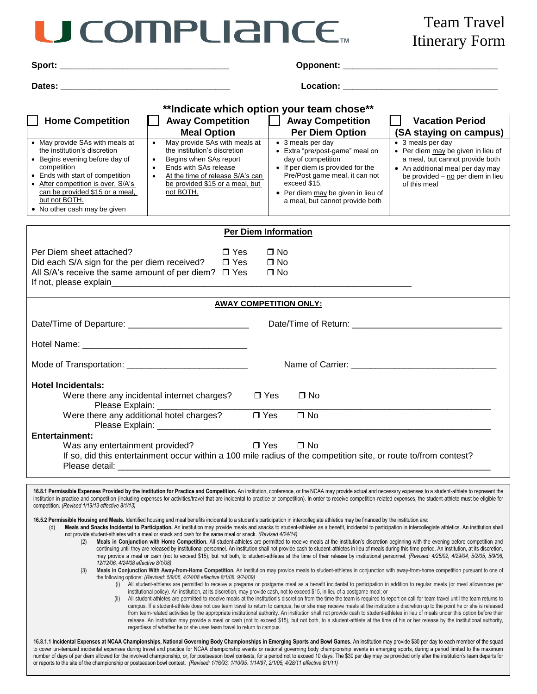## **ICOMPLIANCE.**

| ∍. |  |
|----|--|
|    |  |

**Dates: \_\_\_\_\_\_\_\_\_\_\_\_\_\_\_\_\_\_\_\_\_\_\_\_\_\_\_\_\_\_\_\_\_\_\_ Location: \_\_\_\_\_\_\_\_\_\_\_\_\_\_\_\_\_\_\_\_\_\_\_\_\_\_\_\_\_\_\_\_**

| **Indicate which option your team chose**                                                                                                                                                                                                                                      |                                                                                                                                                                                                                                                          |                               |                                                                                                                                                                                                                                            |                                                                                                                                                                                                                                                                                                                                                                                                                                                                                                                                                                                                                                                              |  |  |  |  |  |  |  |  |
|--------------------------------------------------------------------------------------------------------------------------------------------------------------------------------------------------------------------------------------------------------------------------------|----------------------------------------------------------------------------------------------------------------------------------------------------------------------------------------------------------------------------------------------------------|-------------------------------|--------------------------------------------------------------------------------------------------------------------------------------------------------------------------------------------------------------------------------------------|--------------------------------------------------------------------------------------------------------------------------------------------------------------------------------------------------------------------------------------------------------------------------------------------------------------------------------------------------------------------------------------------------------------------------------------------------------------------------------------------------------------------------------------------------------------------------------------------------------------------------------------------------------------|--|--|--|--|--|--|--|--|
| <b>Home Competition</b>                                                                                                                                                                                                                                                        | <b>Away Competition</b>                                                                                                                                                                                                                                  |                               | <b>Away Competition</b>                                                                                                                                                                                                                    | <b>Vacation Period</b>                                                                                                                                                                                                                                                                                                                                                                                                                                                                                                                                                                                                                                       |  |  |  |  |  |  |  |  |
|                                                                                                                                                                                                                                                                                | <b>Meal Option</b>                                                                                                                                                                                                                                       |                               | <b>Per Diem Option</b>                                                                                                                                                                                                                     | (SA staying on campus)                                                                                                                                                                                                                                                                                                                                                                                                                                                                                                                                                                                                                                       |  |  |  |  |  |  |  |  |
| • May provide SAs with meals at<br>the institution's discretion<br>• Begins evening before day of<br>competition<br>• Ends with start of competition<br>• After competition is over, S/A's<br>can be provided \$15 or a meal,<br>but not BOTH.<br>• No other cash may be given | May provide SAs with meals at<br>$\bullet$<br>the institution's discretion<br>Begins when SAs report<br>$\bullet$<br>Ends with SAs release<br>$\bullet$<br>At the time of release S/A's can<br>$\bullet$<br>be provided \$15 or a meal, but<br>not BOTH. |                               | • 3 meals per day<br>• Extra "pre/post-game" meal on<br>day of competition<br>• If per diem is provided for the<br>Pre/Post game meal, it can not<br>exceed \$15.<br>• Per diem may be given in lieu of<br>a meal, but cannot provide both | • 3 meals per day<br>• Per diem may be given in lieu of<br>a meal, but cannot provide both<br>• An additional meal per day may<br>be provided - no per diem in lieu<br>of this meal                                                                                                                                                                                                                                                                                                                                                                                                                                                                          |  |  |  |  |  |  |  |  |
| <b>Per Diem Information</b>                                                                                                                                                                                                                                                    |                                                                                                                                                                                                                                                          |                               |                                                                                                                                                                                                                                            |                                                                                                                                                                                                                                                                                                                                                                                                                                                                                                                                                                                                                                                              |  |  |  |  |  |  |  |  |
|                                                                                                                                                                                                                                                                                |                                                                                                                                                                                                                                                          |                               |                                                                                                                                                                                                                                            |                                                                                                                                                                                                                                                                                                                                                                                                                                                                                                                                                                                                                                                              |  |  |  |  |  |  |  |  |
| $\Box$ No<br>Per Diem sheet attached?<br>□ Yes                                                                                                                                                                                                                                 |                                                                                                                                                                                                                                                          |                               |                                                                                                                                                                                                                                            |                                                                                                                                                                                                                                                                                                                                                                                                                                                                                                                                                                                                                                                              |  |  |  |  |  |  |  |  |
| Did each S/A sign for the per diem received?                                                                                                                                                                                                                                   | $\square$ Yes                                                                                                                                                                                                                                            | $\Box$ No                     |                                                                                                                                                                                                                                            |                                                                                                                                                                                                                                                                                                                                                                                                                                                                                                                                                                                                                                                              |  |  |  |  |  |  |  |  |
| All S/A's receive the same amount of per diem? $\Box$ Yes                                                                                                                                                                                                                      |                                                                                                                                                                                                                                                          | $\Box$ No                     |                                                                                                                                                                                                                                            |                                                                                                                                                                                                                                                                                                                                                                                                                                                                                                                                                                                                                                                              |  |  |  |  |  |  |  |  |
|                                                                                                                                                                                                                                                                                |                                                                                                                                                                                                                                                          |                               |                                                                                                                                                                                                                                            |                                                                                                                                                                                                                                                                                                                                                                                                                                                                                                                                                                                                                                                              |  |  |  |  |  |  |  |  |
|                                                                                                                                                                                                                                                                                |                                                                                                                                                                                                                                                          | <b>AWAY COMPETITION ONLY:</b> |                                                                                                                                                                                                                                            |                                                                                                                                                                                                                                                                                                                                                                                                                                                                                                                                                                                                                                                              |  |  |  |  |  |  |  |  |
|                                                                                                                                                                                                                                                                                |                                                                                                                                                                                                                                                          |                               |                                                                                                                                                                                                                                            |                                                                                                                                                                                                                                                                                                                                                                                                                                                                                                                                                                                                                                                              |  |  |  |  |  |  |  |  |
| Date/Time of Departure: _________________________________                                                                                                                                                                                                                      |                                                                                                                                                                                                                                                          |                               |                                                                                                                                                                                                                                            |                                                                                                                                                                                                                                                                                                                                                                                                                                                                                                                                                                                                                                                              |  |  |  |  |  |  |  |  |
|                                                                                                                                                                                                                                                                                |                                                                                                                                                                                                                                                          |                               |                                                                                                                                                                                                                                            |                                                                                                                                                                                                                                                                                                                                                                                                                                                                                                                                                                                                                                                              |  |  |  |  |  |  |  |  |
|                                                                                                                                                                                                                                                                                |                                                                                                                                                                                                                                                          |                               |                                                                                                                                                                                                                                            |                                                                                                                                                                                                                                                                                                                                                                                                                                                                                                                                                                                                                                                              |  |  |  |  |  |  |  |  |
|                                                                                                                                                                                                                                                                                |                                                                                                                                                                                                                                                          |                               |                                                                                                                                                                                                                                            |                                                                                                                                                                                                                                                                                                                                                                                                                                                                                                                                                                                                                                                              |  |  |  |  |  |  |  |  |
|                                                                                                                                                                                                                                                                                |                                                                                                                                                                                                                                                          |                               |                                                                                                                                                                                                                                            |                                                                                                                                                                                                                                                                                                                                                                                                                                                                                                                                                                                                                                                              |  |  |  |  |  |  |  |  |
| <b>Hotel Incidentals:</b>                                                                                                                                                                                                                                                      |                                                                                                                                                                                                                                                          |                               |                                                                                                                                                                                                                                            |                                                                                                                                                                                                                                                                                                                                                                                                                                                                                                                                                                                                                                                              |  |  |  |  |  |  |  |  |
|                                                                                                                                                                                                                                                                                | Were there any incidental internet charges?                                                                                                                                                                                                              | $\Box$ Yes                    | $\Box$ No                                                                                                                                                                                                                                  |                                                                                                                                                                                                                                                                                                                                                                                                                                                                                                                                                                                                                                                              |  |  |  |  |  |  |  |  |
| Please Explain:                                                                                                                                                                                                                                                                |                                                                                                                                                                                                                                                          |                               |                                                                                                                                                                                                                                            |                                                                                                                                                                                                                                                                                                                                                                                                                                                                                                                                                                                                                                                              |  |  |  |  |  |  |  |  |
|                                                                                                                                                                                                                                                                                |                                                                                                                                                                                                                                                          | $\overline{\Box}$ Yes         | $\square$ No                                                                                                                                                                                                                               |                                                                                                                                                                                                                                                                                                                                                                                                                                                                                                                                                                                                                                                              |  |  |  |  |  |  |  |  |
|                                                                                                                                                                                                                                                                                |                                                                                                                                                                                                                                                          |                               |                                                                                                                                                                                                                                            |                                                                                                                                                                                                                                                                                                                                                                                                                                                                                                                                                                                                                                                              |  |  |  |  |  |  |  |  |
| <b>Entertainment:</b>                                                                                                                                                                                                                                                          |                                                                                                                                                                                                                                                          |                               |                                                                                                                                                                                                                                            |                                                                                                                                                                                                                                                                                                                                                                                                                                                                                                                                                                                                                                                              |  |  |  |  |  |  |  |  |
| Was any entertainment provided?<br>$\Box$ Yes<br>$\Box$ No                                                                                                                                                                                                                     |                                                                                                                                                                                                                                                          |                               |                                                                                                                                                                                                                                            |                                                                                                                                                                                                                                                                                                                                                                                                                                                                                                                                                                                                                                                              |  |  |  |  |  |  |  |  |
| If so, did this entertainment occur within a 100 mile radius of the competition site, or route to/from contest?                                                                                                                                                                |                                                                                                                                                                                                                                                          |                               |                                                                                                                                                                                                                                            |                                                                                                                                                                                                                                                                                                                                                                                                                                                                                                                                                                                                                                                              |  |  |  |  |  |  |  |  |
|                                                                                                                                                                                                                                                                                |                                                                                                                                                                                                                                                          |                               |                                                                                                                                                                                                                                            |                                                                                                                                                                                                                                                                                                                                                                                                                                                                                                                                                                                                                                                              |  |  |  |  |  |  |  |  |
| competition. (Revised 1/19/13 effective 8/1/13)<br>16.5.2 Permissible Housing and Meals. Identified housing and meal benefits incidental to a student's participation in intercollegiate athletics may be financed by the institution are:<br>(d)                              |                                                                                                                                                                                                                                                          |                               |                                                                                                                                                                                                                                            | 16.8.1 Permissible Expenses Provided by the Institution for Practice and Competition. An institution, conference, or the NCAA may provide actual and necessary expenses to a student-athlete to represent the<br>institution in practice and competition (including expenses for activities/travel that are incidental to practice or competition). In order to receive competition-related expenses, the student-athlete must be eligible for<br>Meals and Snacks Incidental to Participation. An institution may provide meals and snacks to student-athletes as a benefit, incidental to participation in intercollegiate athletics. An institution shall |  |  |  |  |  |  |  |  |
|                                                                                                                                                                                                                                                                                | not provide student-athletes with a meal or snack and cash for the same meal or snack. (Revised 4/24/14)                                                                                                                                                 |                               |                                                                                                                                                                                                                                            |                                                                                                                                                                                                                                                                                                                                                                                                                                                                                                                                                                                                                                                              |  |  |  |  |  |  |  |  |

- (2) **Meals in Conjunction with Home Competition.** All student-athletes are permitted to receive meals at the institution's discretion beginning with the evening before competition and continuing until they are released by institutional personnel. An institution shall not provide cash to student-athletes in lieu of meals during this time period. An institution, at its discretion, may provide a meal or cash (not to exceed \$15), but not both, to student-athletes at the time of their release by institutional personnel. (Revised: 4/25/02, 4/29/04, 5/2/05, 5/9/06, *12/12/06, 4/24/08 effective 8/1/08)*
- (3) Meals in Conjunction With Away-from-Home Competition. An institution may provide meals to student-athletes in conjunction with away-from-home competition pursuant to one of the following options: *(Revised: 5/9/06, 4/24/08 effective 8/1/08, 9/24/09)* 
	- (i) All student-athletes are permitted to receive a pregame or postgame meal as a benefit incidental to participation in addition to regular meals (or meal allowances per institutional policy). An institution, at its discretion, may provide cash, not to exceed \$15, in lieu of a postgame meal; or
	- (ii) All student-athletes are permitted to receive meals at the institution's discretion from the time the team is required to report on call for team travel until the team returns to campus. If a student-athlete does not use team travel to return to campus, he or she may receive meals at the institution's discretion up to the point he or she is released from team-related activities by the appropriate institutional authority. An institution shall not provide cash to student-athletes in lieu of meals under this option before their release. An institution may provide a meal or cash (not to exceed \$15), but not both, to a student-athlete at the time of his or her release by the institutional authority, regardless of whether he or she uses team travel to return to campus.

16.8.1.1 Incidental Expenses at NCAA Championships, National Governing Body Championships in Emerging Sports and Bowl Games. An institution may provide \$30 per day to each member of the squad to cover un-itemized incidental expenses during travel and practice for NCAA championship events or national governing body championship events in emerging sports, during a period limited to the maximum number of days of per diem allowed for the involved championship, or, for postseason bowl contests, for a period not to exceed 10 days. The \$30 per day may be provided only after the institution's team departs for or reports to the site of the championship or postseason bowl contest. *(Revised: 1/16/93, 1/10/95, 1/14/97, 2/1/05, 4/28/11 effective 8/1/11)*